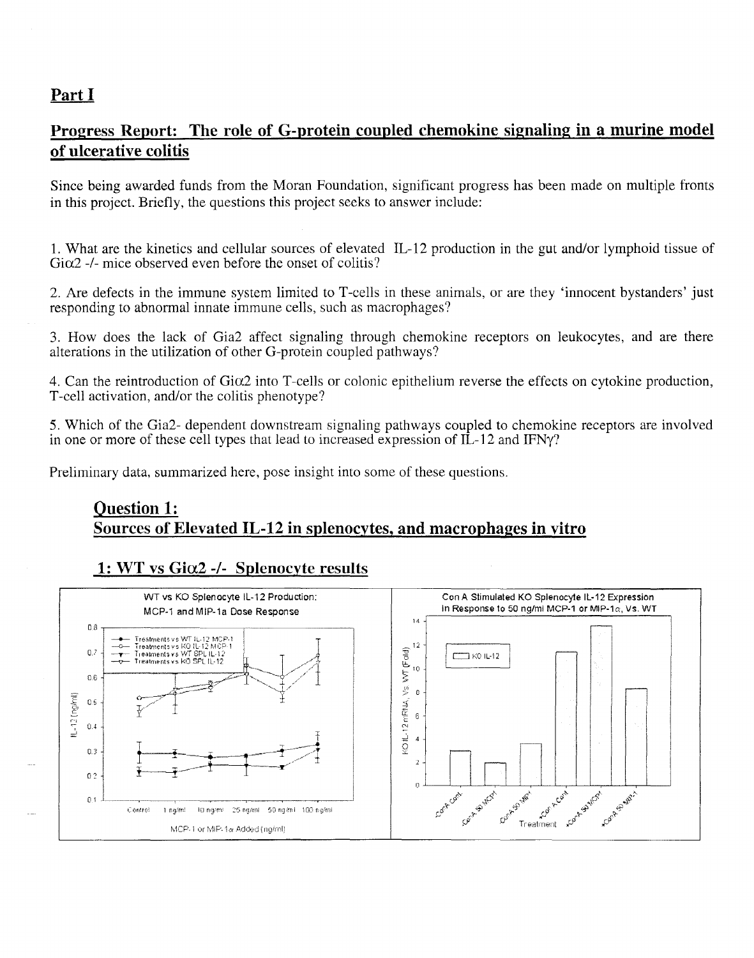# **Part I**

# **Progress Report: The role of G-protein coupled chemokine signaling in a murine model of ulcerative colitis**

Since being awarded funds from the Moran Foundation, significant progress has been made on multiple fronts in this project. Briefly, the questions this project seeks to answer include:

1. What are the kinetics and cellular sources of elevated IL-12 production in the gut and/or lymphoid tissue of  $G<sub>i</sub> \alpha$ <sup>2</sup> -/- mice observed even before the onset of colitis?

2. Are defects in the immune system limited to T-cells in these animals, or are they 'innocent bystanders' just responding to abnormal innate immune cells, such as macrophages?

3. How does the lack of Gia2 affect signaling through chemokine receptors on leukocytes, and are there alterations in the utilization of other G-protein coupled pathways?

4. Can the reintroduction of Gia2 into T-cells or colonic epithelium reverse the effects on cytokine production, T-cell activation, and/or the colitis phenotype?

5. Which of the Gia2- dependent downstream signaling pathways coupled to chemokine receptors are involved in one or more of these cell types that lead to increased expression of IL-12 and IFNy?

Preliminary data, summarized here, pose insight into some of these questions.

### **Question 1: Sources of Elevated IL-12 in splenocytes. and** macro phages **in vitro**

# **1: WT vs Gia2** *-1-* **Splenocyte results**

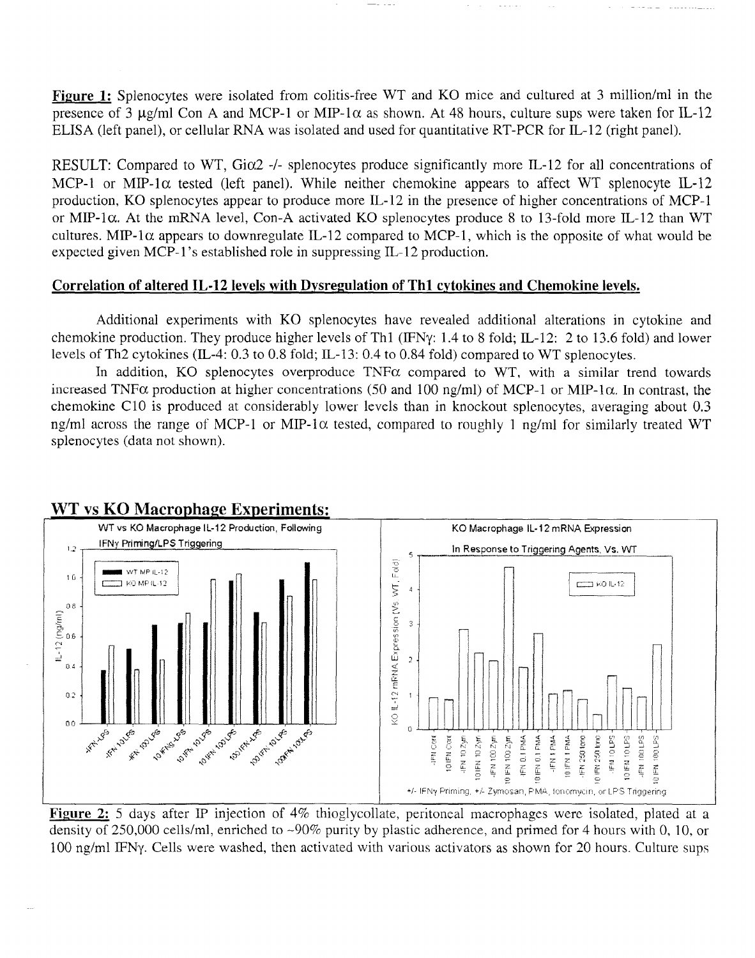Figure 1: Splenocytes were isolated from colitis-free WT and KO mice and cultured at 3 million/ml in the presence of 3  $\mu$ g/ml Con A and MCP-1 or MIP-1 $\alpha$  as shown. At 48 hours, culture sups were taken for IL-12 ELISA (left panel), or cellular RNA was isolated and used for quantitative RT-PCR for IL-12 (right panel).

RESULT: Compared to WT, Gi $\alpha$ 2 -/- splenocytes produce significantly more IL-12 for all concentrations of MCP-1 or MIP-1 $\alpha$  tested (left panel). While neither chemokine appears to affect WT splenocyte IL-12 production, KG splenocytes appear to produce more IL-12 in the presence of higher concentrations of MCP-1 or MIP-1 $\alpha$ . At the mRNA level, Con-A activated KO splenocytes produce 8 to 13-fold more IL-12 than WT cultures. MIP-1 $\alpha$  appears to downregulate IL-12 compared to MCP-1, which is the opposite of what would be expected given MCP-1's established role in suppressing IL-12 production.

### Correlation of altered IL-12 levels with Dvsregulation of Th1 cytokines and Chemokine levels.

Additional experiments with KG splenocytes have revealed additional alterations in cytokine and chemokine production. They produce higher levels of Th1 (IFNy: 1.4 to 8 fold; IL-12: 2 to 13.6 fold) and lower levels of Th2 cytokines (IL-4: 0.3 to 0.8 fold; IL-13: 0.4 to 0.84 fold) compared to WT splenocytes.

In addition, KO splenocytes overproduce TNF $\alpha$  compared to WT, with a similar trend towards increased TNF $\alpha$  production at higher concentrations (50 and 100 ng/ml) of MCP-1 or MIP-1 $\alpha$ . In contrast, the chemokine ClO is produced at considerably lower levels than in knockout splenocytes, averaging about 0.3 ng/ml across the range of MCP-1 or MIP-1 $\alpha$  tested, compared to roughly 1 ng/ml for similarly treated WT splenocytes (data not shown).



### WT vs KO Macrophage Experiments:

Figure 2: 5 days after IP injection of 4% thioglycollate, peritoneal macrophages were isolated, plated at a density of 250,000 cells/ml, enriched to ~90% purity by plastic adherence, and primed for 4 hours with 0, 10, or 100 ng/ml IFNy. Cells were washed, then activated with various activators as shown for 20 hours. Culture sups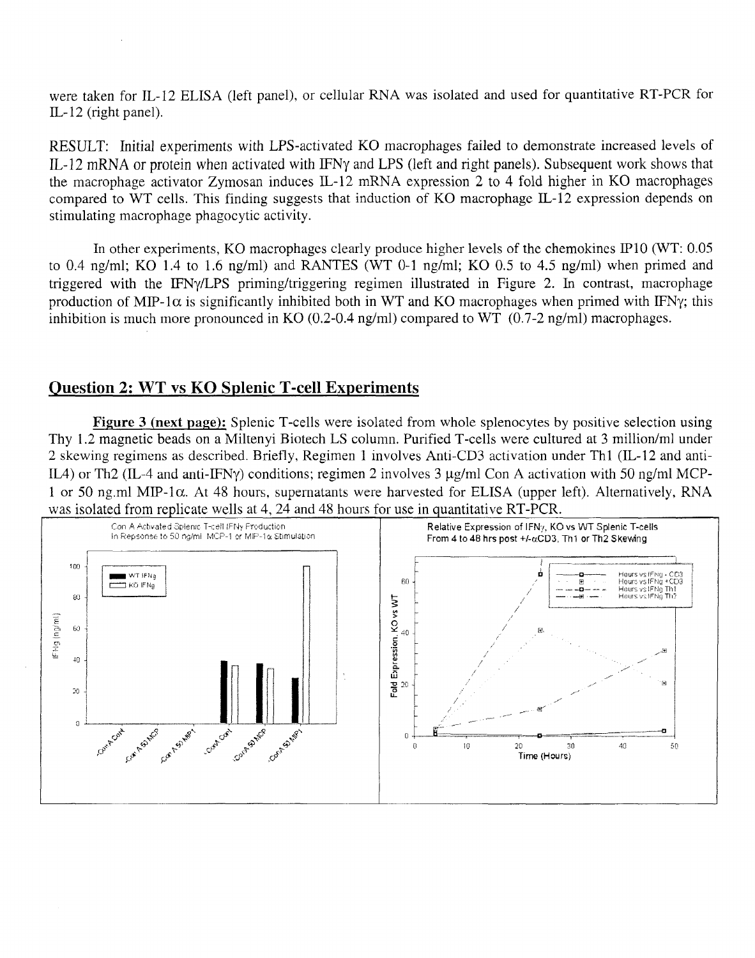were taken for IL-l2 ELISA (left panel), or cellular RNA was isolated and used for quantitative RT-PCR for IL-l2 (right panel).

RESULT: Initial experiments with LPS-activated KO macrophages failed to demonstrate increased levels of IL-12 mRNA or protein when activated with IFNy and LPS (left and right panels). Subsequent work shows that the macrophage activator Zymosan induces IL-l2 mRNA expression 2 to 4 fold higher in KG macrophages compared to WT cells. This finding suggests that induction of KG macrophage IL-l2 expression depends on stimulating macrophage phagocytic activity.

In other experiments, KO macrophages clearly produce higher levels of the chemokines IP10 (WT: 0.05 to 0.4 ng/ml; KG 1.4 to 1.6 ng/ml) and RANTES (WT 0-1 ng/ml; KG 0.5 to 4.5 ng/ml) when primed and triggered with the IFNy/LPS priming/triggering regimen illustrated in Figure 2. In contrast, macrophage production of MIP-1 $\alpha$  is significantly inhibited both in WT and KO macrophages when primed with IFNy; this inhibition is much more pronounced in KO  $(0.2{\text -}0.4 \text{ ng/ml})$  compared to WT  $(0.7{\text -}2 \text{ ng/ml})$  macrophages.

# Question 2: WT vs KG Splenic T-cell Experiments

Figure 3 (next page): Splenic T-cells were isolated from whole splenocytes by positive selection using Thy 1.2 magnetic beads on a Miltenyi Biotech LS column. Purified T-cells were cultured at 3 million/ml under 2 skewing regimens as described. Briefly, Regimen 1 involves Anti-CD3 activation under Thl (IL-12 and anti-IL4) or Th2 (IL-4 and anti-IFNy) conditions; regimen 2 involves  $3 \mu g/ml$  Con A activation with 50 ng/ml MCP-1 or 50 ng.ml MIP-1 $\alpha$ . At 48 hours, supernatants were harvested for ELISA (upper left). Alternatively, RNA was isolated from replicate wells at 4, 24 and 48 hours for use in quantitative RT-PCR.

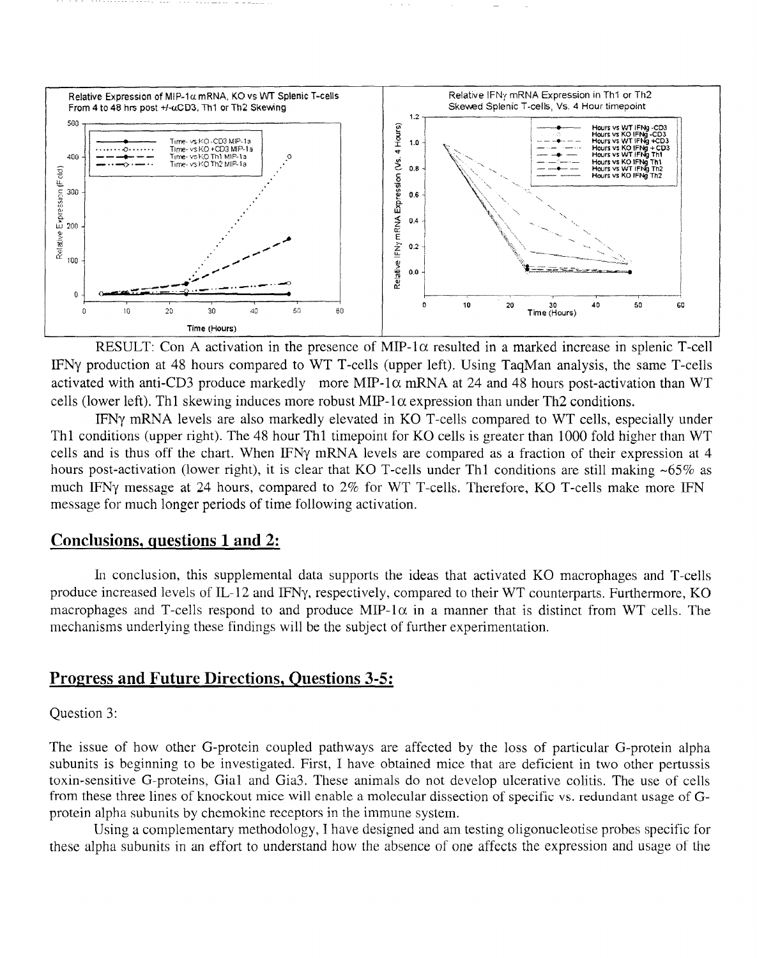

RESULT: Con A activation in the presence of MIP-1 $\alpha$  resulted in a marked increase in splenic T-cell IFNy production at 48 hours compared to WT T-cells (upper left). Using TaqMan analysis, the same T-cells activated with anti-CD3 produce markedly more MIP-1 $\alpha$  mRNA at 24 and 48 hours post-activation than WT cells (lower left). Th1 skewing induces more robust MIP-1 $\alpha$  expression than under Th2 conditions.

IFNy mRNA levels are also markedly elevated in KO T-cells compared to WT cells, especially under Th1 conditions (upper right). The 48 hour Th1 timepoint for KO cells is greater than 1000 fold higher than WT cells and is thus off the chart. When IFNy mRNA levels are compared as a fraction of their expression at 4 hours post-activation (lower right), it is clear that KO T-cells under Th1 conditions are still making ~65% as much IFNy message at 24 hours, compared to 2% for WT T-cells. Therefore, KO T-cells make more IFN message for much longer periods of time following activation.

### Conclusions, questions 1 and 2:

In conclusion, this supplemental data supports the ideas that activated KO macrophages and T-cells produce increased levels of IL-12 and IFNy, respectively, compared to their WT counterparts. Furthermore, KO macrophages and T-cells respond to and produce MIP-1 $\alpha$  in a manner that is distinct from WT cells. The mechanisms underlying these findings will be the subject of further experimentation.

# **Progress and Future Directions, Questions 3-5:**

#### Question 3:

The issue of how other G-protein coupled pathways are affected by the loss of particular G-protein alpha subunits is beginning to be investigated. First, I have obtained mice that are deficient in two other pertussis toxin-sensitive G-proteins, Gial and Gia3. These animals do not develop ulcerative colitis. The use of cells from these three lines of knockout mice will enable a molecular dissection of specific vs. redundant usage of Gprotein alpha subunits by chemokine receptors in the immune system.

Using a complementary methodology, I have designed and am testing oligonucleotise probes specific for these alpha subunits in an effort to understand how the absence of one affects the expression and usage of the